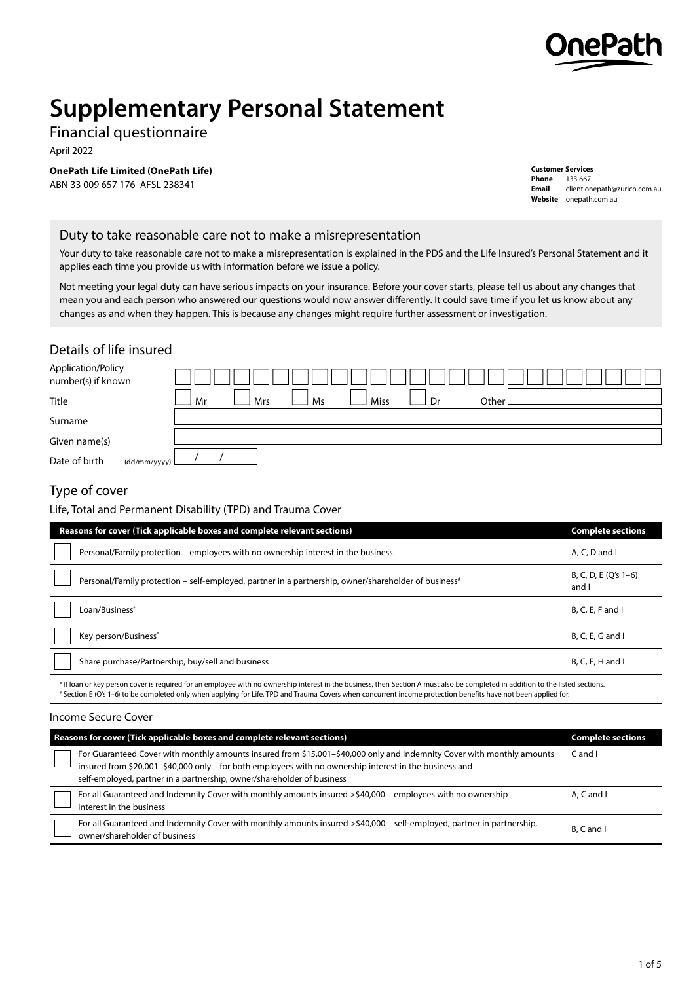

# **Supplementary Personal Statement**

Financial questionnaire

April 2022

**OnePath Life Limited (OnePath Life)**

ABN 33 009 657 176 AFSL 238341

**Customer Services Phone** 133 667 **Email** client.onepath@zurich.com.au **Website** [onepath.com.au](https://www.onepath.com.au)

#### Duty to take reasonable care not to make a misrepresentation

Your duty to take reasonable care not to make a misrepresentation is explained in the PDS and the Life Insured's Personal Statement and it applies each time you provide us with information before we issue a policy.

Not meeting your legal duty can have serious impacts on your insurance. Before your cover starts, please tell us about any changes that mean you and each person who answered our questions would now answer differently. It could save time if you let us know about any changes as and when they happen. This is because any changes might require further assessment or investigation.

#### Details of life insured

| Application/Policy<br>number(s) if known |              |    |     |    |      |    |         |  |  |
|------------------------------------------|--------------|----|-----|----|------|----|---------|--|--|
| Title                                    |              | Mr | Mrs | Ms | Miss | Dr | Other I |  |  |
| Surname                                  |              |    |     |    |      |    |         |  |  |
| Given name(s)                            |              |    |     |    |      |    |         |  |  |
| Date of birth                            | (dd/mm/yyyy) |    |     |    |      |    |         |  |  |

## Type of cover

Life, Total and Permanent Disability (TPD) and Trauma Cover

| Reasons for cover (Tick applicable boxes and complete relevant sections)                                         | <b>Complete sections</b>        |
|------------------------------------------------------------------------------------------------------------------|---------------------------------|
| Personal/Family protection – employees with no ownership interest in the business                                | A. C. D and I                   |
| Personal/Family protection - self-employed, partner in a partnership, owner/shareholder of business <sup>#</sup> | B, C, D, E $(Q's 1-6)$<br>and I |
| Loan/Business <sup>*</sup>                                                                                       | $B, C, E, F$ and I              |
| Key person/Business*                                                                                             | $B, C, E, G$ and I              |
| Share purchase/Partnership, buy/sell and business                                                                | $B, C, E, H$ and I              |

\* If loan or key person cover is required for an employee with no ownership interest in the business, then Section A must also be completed in addition to the listed sections. # Section E (Q's 1–6) to be completed only when applying for Life, TPD and Trauma Covers when concurrent income protection benefits have not been applied for.

#### Income Secure Cover

| Reasons for cover (Tick applicable boxes and complete relevant sections)                                                                                                                                                                                                                                    | <b>Complete sections</b> |
|-------------------------------------------------------------------------------------------------------------------------------------------------------------------------------------------------------------------------------------------------------------------------------------------------------------|--------------------------|
| For Guaranteed Cover with monthly amounts insured from \$15,001-\$40,000 only and Indemnity Cover with monthly amounts<br>insured from \$20,001-\$40,000 only - for both employees with no ownership interest in the business and<br>self-employed, partner in a partnership, owner/shareholder of business | $C$ and $I$              |
| For all Guaranteed and Indemnity Cover with monthly amounts insured >\$40,000 - employees with no ownership<br>interest in the business                                                                                                                                                                     | $A, C$ and $I$           |
| For all Guaranteed and Indemnity Cover with monthly amounts insured >\$40,000 – self-employed, partner in partnership,<br>owner/shareholder of business                                                                                                                                                     | B. C and I               |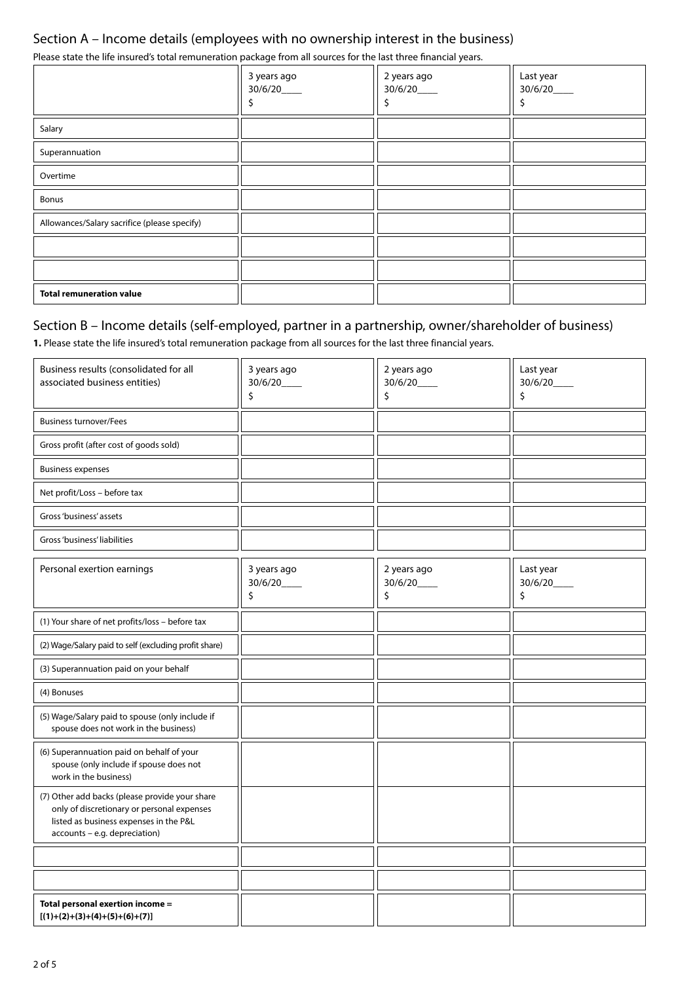## Section A – Income details (employees with no ownership interest in the business)

Please state the life insured's total remuneration package from all sources for the last three financial years.

|                                              | 3 years ago<br>30/6/20____ | 2 years ago<br>30/6/20____ | Last year<br>30/6/20_<br>ב |
|----------------------------------------------|----------------------------|----------------------------|----------------------------|
| Salary                                       |                            |                            |                            |
| Superannuation                               |                            |                            |                            |
| Overtime                                     |                            |                            |                            |
| <b>Bonus</b>                                 |                            |                            |                            |
| Allowances/Salary sacrifice (please specify) |                            |                            |                            |
|                                              |                            |                            |                            |
|                                              |                            |                            |                            |
| <b>Total remuneration value</b>              |                            |                            |                            |

### Section B – Income details (self-employed, partner in a partnership, owner/shareholder of business)

**1.** Please state the life insured's total remuneration package from all sources for the last three financial years.

| Business results (consolidated for all                                                                                                                                  | 3 years ago                                    | 2 years ago                  | Last year                   |
|-------------------------------------------------------------------------------------------------------------------------------------------------------------------------|------------------------------------------------|------------------------------|-----------------------------|
| associated business entities)                                                                                                                                           | 30/6/20                                        | 30/6/20                      | 30/6/20                     |
|                                                                                                                                                                         | \$                                             | \$                           | \$                          |
| <b>Business turnover/Fees</b>                                                                                                                                           |                                                |                              |                             |
| Gross profit (after cost of goods sold)                                                                                                                                 |                                                |                              |                             |
| <b>Business expenses</b>                                                                                                                                                |                                                |                              |                             |
| Net profit/Loss - before tax                                                                                                                                            |                                                |                              |                             |
| Gross 'business' assets                                                                                                                                                 |                                                |                              |                             |
| Gross 'business' liabilities                                                                                                                                            |                                                |                              |                             |
| Personal exertion earnings                                                                                                                                              | 3 years ago<br>$30/6/20$ <sub>____</sub><br>\$ | 2 years ago<br>30/6/20<br>\$ | Last year<br>30/6/20_<br>\$ |
| (1) Your share of net profits/loss - before tax                                                                                                                         |                                                |                              |                             |
| (2) Wage/Salary paid to self (excluding profit share)                                                                                                                   |                                                |                              |                             |
| (3) Superannuation paid on your behalf                                                                                                                                  |                                                |                              |                             |
| (4) Bonuses                                                                                                                                                             |                                                |                              |                             |
| (5) Wage/Salary paid to spouse (only include if<br>spouse does not work in the business)                                                                                |                                                |                              |                             |
| (6) Superannuation paid on behalf of your<br>spouse (only include if spouse does not<br>work in the business)                                                           |                                                |                              |                             |
| (7) Other add backs (please provide your share<br>only of discretionary or personal expenses<br>listed as business expenses in the P&L<br>accounts - e.g. depreciation) |                                                |                              |                             |
|                                                                                                                                                                         |                                                |                              |                             |
|                                                                                                                                                                         |                                                |                              |                             |
| Total personal exertion income =<br>$[(1)+(2)+(3)+(4)+(5)+(6)+(7)]$                                                                                                     |                                                |                              |                             |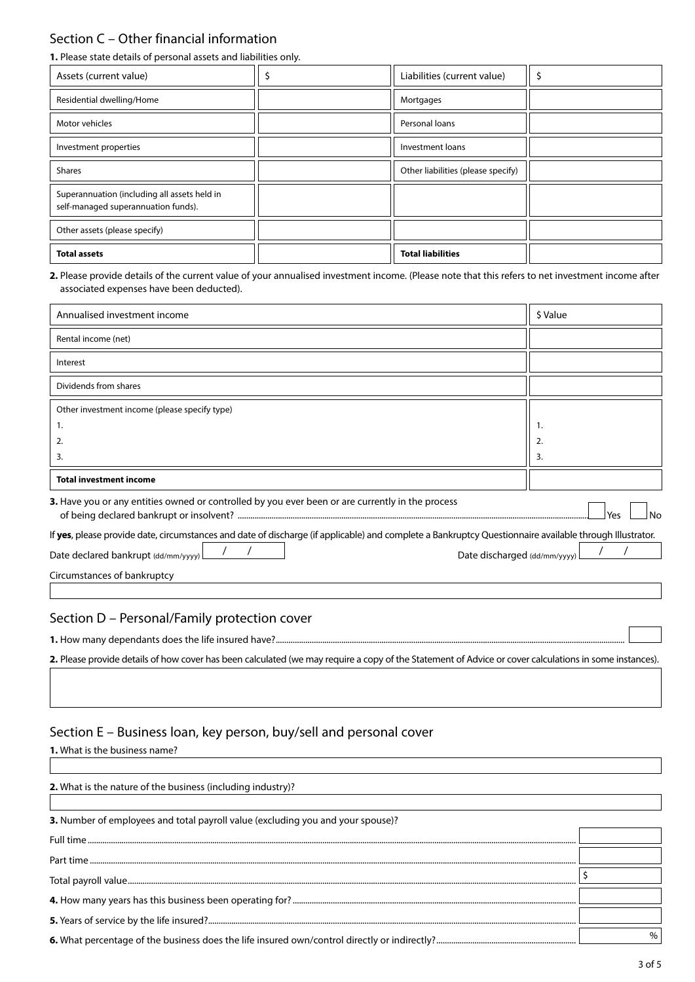## Section C – Other financial information

**1.** Please state details of personal assets and liabilities only.

| Assets (current value)                                                              | Liabilities (current value)        |  |
|-------------------------------------------------------------------------------------|------------------------------------|--|
| Residential dwelling/Home                                                           | Mortgages                          |  |
| Motor vehicles                                                                      | Personal loans                     |  |
| Investment properties                                                               | Investment loans                   |  |
| <b>Shares</b>                                                                       | Other liabilities (please specify) |  |
| Superannuation (including all assets held in<br>self-managed superannuation funds). |                                    |  |
| Other assets (please specify)                                                       |                                    |  |
| <b>Total assets</b>                                                                 | <b>Total liabilities</b>           |  |

**2.** Please provide details of the current value of your annualised investment income. (Please note that this refers to net investment income after associated expenses have been deducted).

| Annualised investment income                                                                                                                            | \$ Value  |
|---------------------------------------------------------------------------------------------------------------------------------------------------------|-----------|
| Rental income (net)                                                                                                                                     |           |
| Interest                                                                                                                                                |           |
| Dividends from shares                                                                                                                                   |           |
| Other investment income (please specify type)                                                                                                           |           |
| 1.                                                                                                                                                      | 1.        |
| 2.                                                                                                                                                      | 2.        |
| 3.                                                                                                                                                      | 3.        |
| <b>Total investment income</b>                                                                                                                          |           |
| 3. Have you or any entities owned or controlled by you ever been or are currently in the process                                                        | Yes<br>No |
| If yes, please provide date, circumstances and date of discharge (if applicable) and complete a Bankruptcy Questionnaire available through Illustrator. |           |
| Date declared bankrupt (dd/mm/yyyy)<br>Date discharged (dd/mm/yyyy)                                                                                     |           |
| Circumstances of bankruptcy                                                                                                                             |           |

#### Section D – Personal/Family protection cover

**1.** How many dependants does the life insured have?.....................................................................................................................................................................

**2.** Please provide details of how cover has been calculated (we may require a copy of the Statement of Advice or cover calculations in some instances).

#### Section E – Business loan, key person, buy/sell and personal cover

**1.** What is the business name?

**2.** What is the nature of the business (including industry)? **3.** Number of employees and total payroll value (excluding you and your spouse)? Full time....................................................................................................................................................................................................................................... Part time ...................................................................................................................................................................................................................................... Total payroll value.................................................................................................................................................................................................................... \$ **4.** How many years has this business been operating for? ...................................................................................................................................... **5.** Years of service by the life insured?.............................................................................................................................................................................. **6.** What percentage of the business does the life insured own/control directly or indirectly?.................................................................. %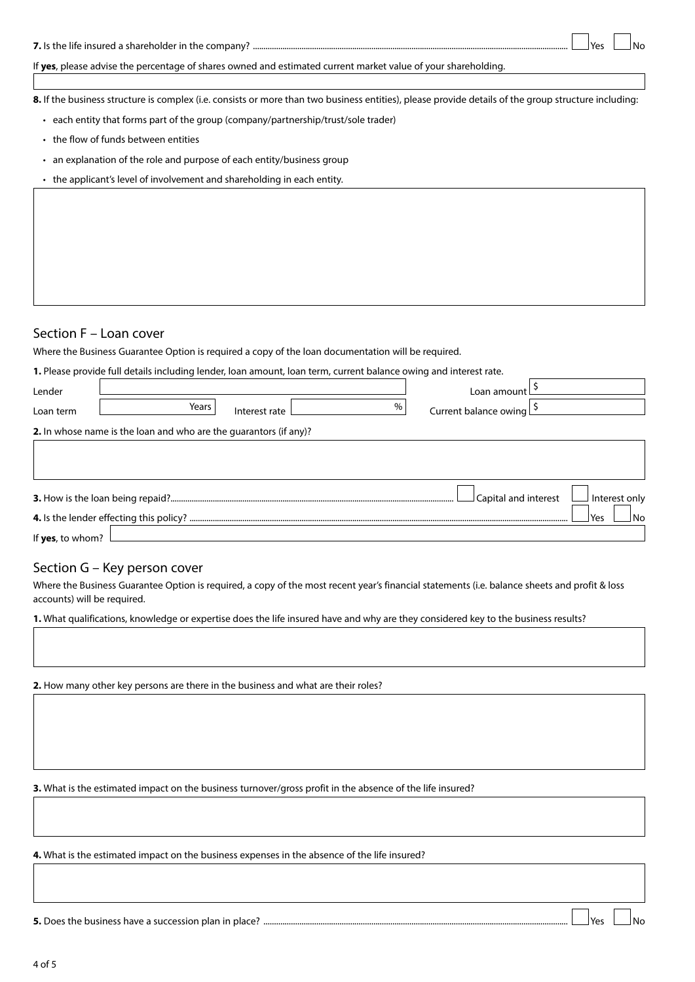If **yes**, please advise the percentage of shares owned and estimated current market value of your shareholding.

**8.** If the business structure is complex (i.e. consists or more than two business entities), please provide details of the group structure including:

- each entity that forms part of the group (company/partnership/trust/sole trader)
- the flow of funds between entities
- an explanation of the role and purpose of each entity/business group
- the applicant's level of involvement and shareholding in each entity.

#### Section F – Loan cover

Where the Business Guarantee Option is required a copy of the loan documentation will be required.

|                  | 1. Please provide full details including lender, loan amount, loan term, current balance owing and interest rate. |               |      |                       |                      |               |
|------------------|-------------------------------------------------------------------------------------------------------------------|---------------|------|-----------------------|----------------------|---------------|
| Lender           |                                                                                                                   |               |      | Loan amount           |                      |               |
| Loan term        | Years                                                                                                             | Interest rate | $\%$ | Current balance owing |                      |               |
|                  | 2. In whose name is the loan and who are the guarantors (if any)?                                                 |               |      |                       |                      |               |
|                  |                                                                                                                   |               |      |                       |                      |               |
|                  |                                                                                                                   |               |      |                       |                      |               |
|                  |                                                                                                                   |               |      |                       | Capital and interest | Interest only |
|                  |                                                                                                                   |               |      |                       |                      | Yes<br>N٥     |
| If yes, to whom? |                                                                                                                   |               |      |                       |                      |               |

#### Section G – Key person cover

Where the Business Guarantee Option is required, a copy of the most recent year's financial statements (i.e. balance sheets and profit & loss accounts) will be required.

**1.** What qualifications, knowledge or expertise does the life insured have and why are they considered key to the business results?

**2.** How many other key persons are there in the business and what are their roles?

**3.** What is the estimated impact on the business turnover/gross profit in the absence of the life insured?

**4.** What is the estimated impact on the business expenses in the absence of the life insured?

**5.** Does the business have a succession plan in place? ................................................................................................................................................ Yes No